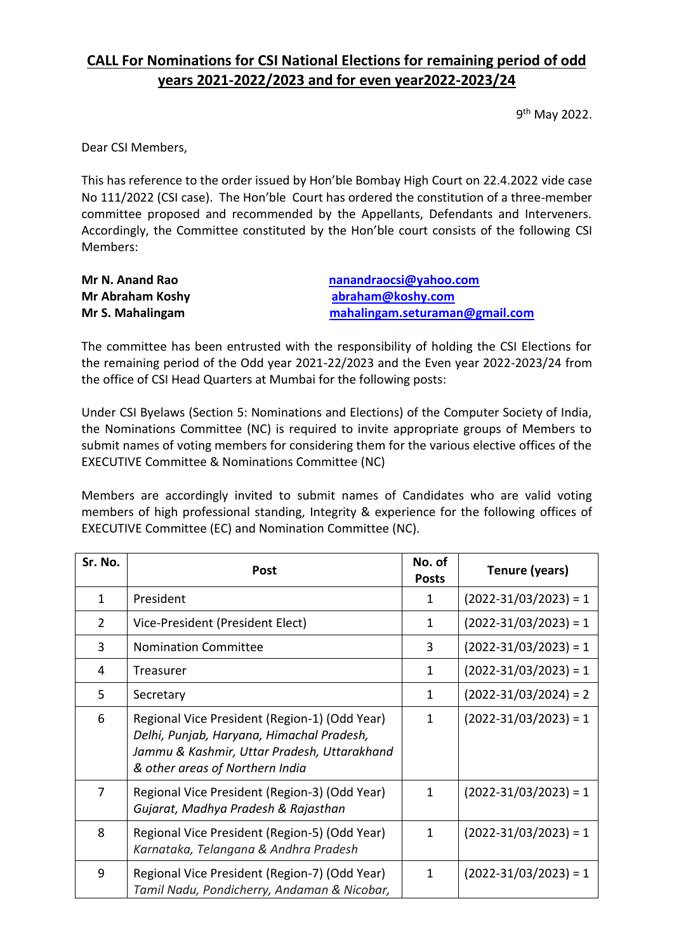### **CALL For Nominations for CSI National Elections for remaining period of odd years 2021-2022/2023 and for even year2022-2023/24**

9 th May 2022.

Dear CSI Members,

This has reference to the order issued by Hon'ble Bombay High Court on 22.4.2022 vide case No 111/2022 (CSI case). The Hon'ble Court has ordered the constitution of a three-member committee proposed and recommended by the Appellants, Defendants and Interveners. Accordingly, the Committee constituted by the Hon'ble court consists of the following CSI Members:

| Mr N. Anand Rao         | nanandraocsi@yahoo.com         |
|-------------------------|--------------------------------|
| <b>Mr Abraham Koshy</b> | abraham@koshy.com              |
| Mr S. Mahalingam        | mahalingam.seturaman@gmail.com |

The committee has been entrusted with the responsibility of holding the CSI Elections for the remaining period of the Odd year 2021-22/2023 and the Even year 2022-2023/24 from the office of CSI Head Quarters at Mumbai for the following posts:

Under CSI Byelaws (Section 5: Nominations and Elections) of the Computer Society of India, the Nominations Committee (NC) is required to invite appropriate groups of Members to submit names of voting members for considering them for the various elective offices of the EXECUTIVE Committee & Nominations Committee (NC)

Members are accordingly invited to submit names of Candidates who are valid voting members of high professional standing, Integrity & experience for the following offices of EXECUTIVE Committee (EC) and Nomination Committee (NC).

| Sr. No.        | Post                                                                                                                                                                         | No. of<br><b>Posts</b> | Tenure (years)            |
|----------------|------------------------------------------------------------------------------------------------------------------------------------------------------------------------------|------------------------|---------------------------|
| 1              | President                                                                                                                                                                    | 1                      | $(2022-31/03/2023) = 1$   |
| $\overline{2}$ | Vice-President (President Elect)                                                                                                                                             | 1                      | $(2022-31/03/2023) = 1$   |
| 3              | <b>Nomination Committee</b>                                                                                                                                                  | 3                      | $(2022 - 31/03/2023) = 1$ |
| 4              | Treasurer                                                                                                                                                                    | $\mathbf{1}$           | $(2022-31/03/2023) = 1$   |
| 5              | Secretary                                                                                                                                                                    | $\mathbf{1}$           | $(2022 - 31/03/2024) = 2$ |
| 6              | Regional Vice President (Region-1) (Odd Year)<br>Delhi, Punjab, Haryana, Himachal Pradesh,<br>Jammu & Kashmir, Uttar Pradesh, Uttarakhand<br>& other areas of Northern India | 1                      | $(2022 - 31/03/2023) = 1$ |
| 7              | Regional Vice President (Region-3) (Odd Year)<br>Gujarat, Madhya Pradesh & Rajasthan                                                                                         | 1                      | $(2022 - 31/03/2023) = 1$ |
| 8              | Regional Vice President (Region-5) (Odd Year)<br>Karnataka, Telangana & Andhra Pradesh                                                                                       | 1                      | $(2022-31/03/2023) = 1$   |
| 9              | Regional Vice President (Region-7) (Odd Year)<br>Tamil Nadu, Pondicherry, Andaman & Nicobar,                                                                                 | $\mathbf{1}$           | $(2022 - 31/03/2023) = 1$ |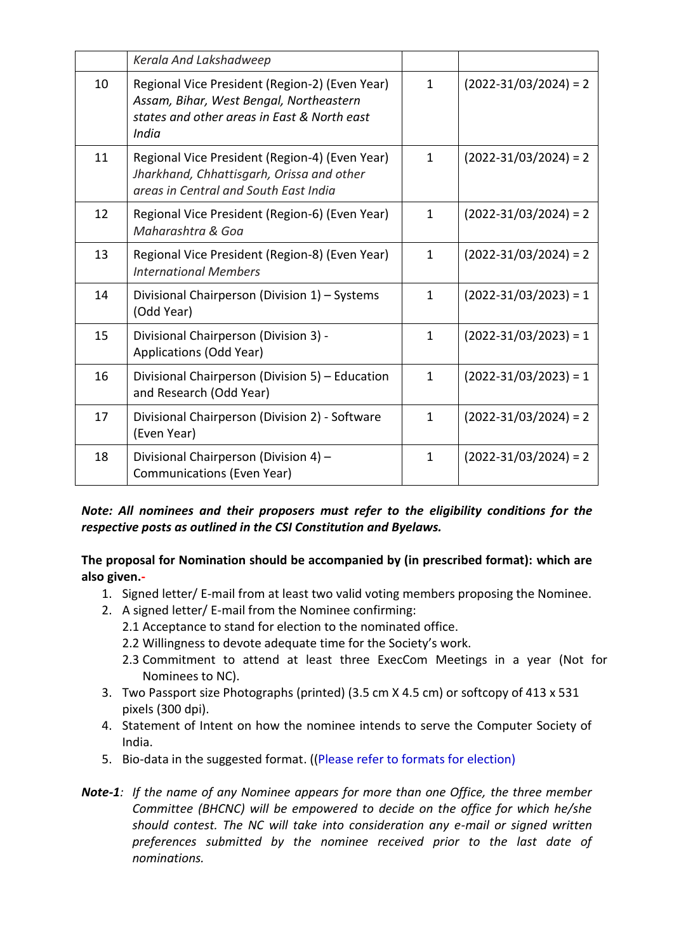|    | Kerala And Lakshadweep                                                                                                                            |              |                           |
|----|---------------------------------------------------------------------------------------------------------------------------------------------------|--------------|---------------------------|
| 10 | Regional Vice President (Region-2) (Even Year)<br>Assam, Bihar, West Bengal, Northeastern<br>states and other areas in East & North east<br>India | $\mathbf{1}$ | $(2022 - 31/03/2024) = 2$ |
| 11 | Regional Vice President (Region-4) (Even Year)<br>Jharkhand, Chhattisgarh, Orissa and other<br>areas in Central and South East India              | $\mathbf{1}$ | $(2022 - 31/03/2024) = 2$ |
| 12 | Regional Vice President (Region-6) (Even Year)<br>Maharashtra & Goa                                                                               | $\mathbf{1}$ | $(2022 - 31/03/2024) = 2$ |
| 13 | Regional Vice President (Region-8) (Even Year)<br><b>International Members</b>                                                                    | $\mathbf{1}$ | $(2022 - 31/03/2024) = 2$ |
| 14 | Divisional Chairperson (Division 1) - Systems<br>(Odd Year)                                                                                       | $\mathbf{1}$ | $(2022-31/03/2023) = 1$   |
| 15 | Divisional Chairperson (Division 3) -<br>Applications (Odd Year)                                                                                  | $\mathbf{1}$ | $(2022-31/03/2023) = 1$   |
| 16 | Divisional Chairperson (Division 5) - Education<br>and Research (Odd Year)                                                                        | $\mathbf{1}$ | $(2022-31/03/2023) = 1$   |
| 17 | Divisional Chairperson (Division 2) - Software<br>(Even Year)                                                                                     | $\mathbf{1}$ | $(2022 - 31/03/2024) = 2$ |
| 18 | Divisional Chairperson (Division 4) -<br>Communications (Even Year)                                                                               | $\mathbf{1}$ | $(2022-31/03/2024) = 2$   |

*Note: All nominees and their proposers must refer to the eligibility conditions for the respective posts as outlined in the CSI Constitution and Byelaws.*

**The proposal for Nomination should be accompanied by (in prescribed format): which are also given.-**

- 1. Signed letter/ E-mail from at least two valid voting members proposing the Nominee.
- 2. A signed letter/ E-mail from the Nominee confirming:
	- 2.1 Acceptance to stand for election to the nominated office.
	- 2.2 Willingness to devote adequate time for the Society's work.
	- 2.3 Commitment to attend at least three ExecCom Meetings in a year (Not for Nominees to NC).
- 3. Two Passport size Photographs (printed) (3.5 cm X 4.5 cm) or softcopy of 413 x 531 pixels (300 dpi).
- 4. Statement of Intent on how the nominee intends to serve the Computer Society of India.
- 5. Bio-data in the suggested format. ((Please refer to formats for election)
- *Note-1: If the name of any Nominee appears for more than one Office, the three member Committee (BHCNC) will be empowered to decide on the office for which he/she should contest. The NC will take into consideration any e-mail or signed written preferences submitted by the nominee received prior to the last date of nominations.*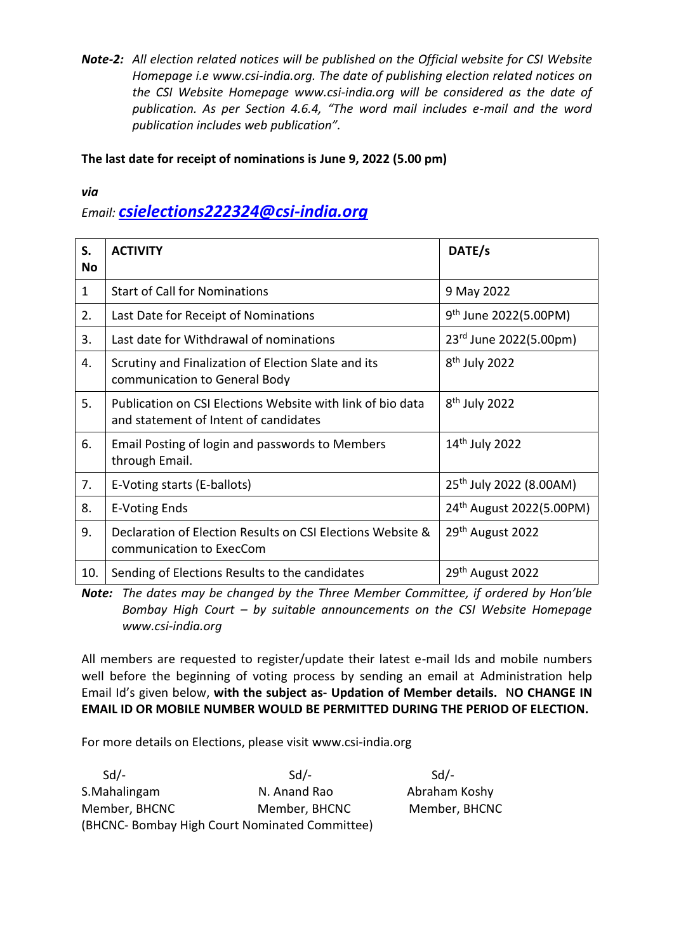*Note-2: All election related notices will be published on the Official website for CSI Website Homepage i.e www.csi-india.org. The date of publishing election related notices on the CSI Website Homepage www.csi-india.org will be considered as the date of publication. As per Section 4.6.4, "The word mail includes e-mail and the word publication includes web publication".* 

**The last date for receipt of nominations is June 9, 2022 (5.00 pm)**

*via*

### *Email: [csielections222324@csi-india.org](mailto:csielections222324@csi-india.org)*

| S.        | <b>ACTIVITY</b>                                                                                     | DATE/s                               |
|-----------|-----------------------------------------------------------------------------------------------------|--------------------------------------|
| <b>No</b> |                                                                                                     |                                      |
| 1         | <b>Start of Call for Nominations</b>                                                                | 9 May 2022                           |
| 2.        | Last Date for Receipt of Nominations                                                                | $9th$ June 2022(5.00PM)              |
| 3.        | Last date for Withdrawal of nominations                                                             | 23rd June 2022(5.00pm)               |
| 4.        | Scrutiny and Finalization of Election Slate and its<br>communication to General Body                | $8th$ July 2022                      |
| 5.        | Publication on CSI Elections Website with link of bio data<br>and statement of Intent of candidates | $8th$ July 2022                      |
| 6.        | Email Posting of login and passwords to Members<br>through Email.                                   | 14 <sup>th</sup> July 2022           |
| 7.        | E-Voting starts (E-ballots)                                                                         | 25 <sup>th</sup> July 2022 (8.00AM)  |
| 8.        | <b>E-Voting Ends</b>                                                                                | 24 <sup>th</sup> August 2022(5.00PM) |
| 9.        | Declaration of Election Results on CSI Elections Website &<br>communication to ExecCom              | 29 <sup>th</sup> August 2022         |
| 10.       | Sending of Elections Results to the candidates                                                      | 29 <sup>th</sup> August 2022         |

*Note: The dates may be changed by the Three Member Committee, if ordered by Hon'ble Bombay High Court – by suitable announcements on the CSI Website Homepage www.csi-india.org*

All members are requested to register/update their latest e-mail Ids and mobile numbers well before the beginning of voting process by sending an email at Administration help Email Id's given below, **with the subject as- Updation of Member details.** N**O CHANGE IN EMAIL ID OR MOBILE NUMBER WOULD BE PERMITTED DURING THE PERIOD OF ELECTION.** 

For more details on Elections, please visit www.csi-india.org

| $Sd/-$        | $Sd$ -                                         | $Sd$ /-       |
|---------------|------------------------------------------------|---------------|
| S.Mahalingam  | N. Anand Rao                                   | Abraham Koshy |
| Member, BHCNC | Member, BHCNC                                  | Member, BHCNC |
|               | (BHCNC- Bombay High Court Nominated Committee) |               |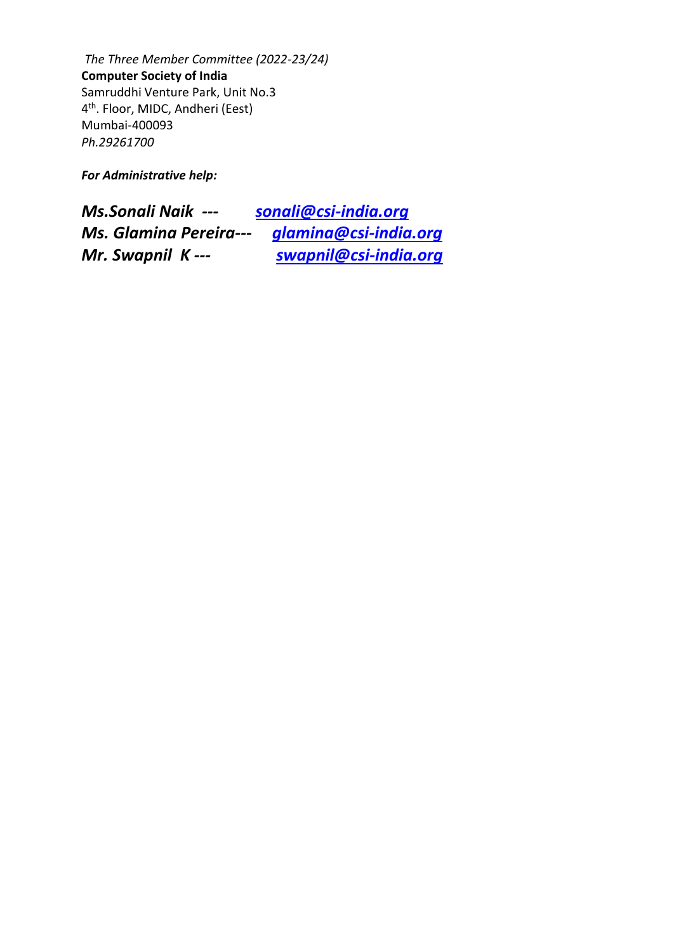*The Three Member Committee (2022-23/24)*  **Computer Society of India** Samruddhi Venture Park, Unit No.3 4 th. Floor, MIDC, Andheri (Eest) Mumbai-400093 *Ph.29261700*

*For Administrative help:*

| <b>Ms.Sonali Naik ---</b>     | sonali@csi-india.org  |
|-------------------------------|-----------------------|
| <b>Ms. Glamina Pereira---</b> | glamina@csi-india.org |
| Mr. Swapnil K---              | swapnil@csi-india.org |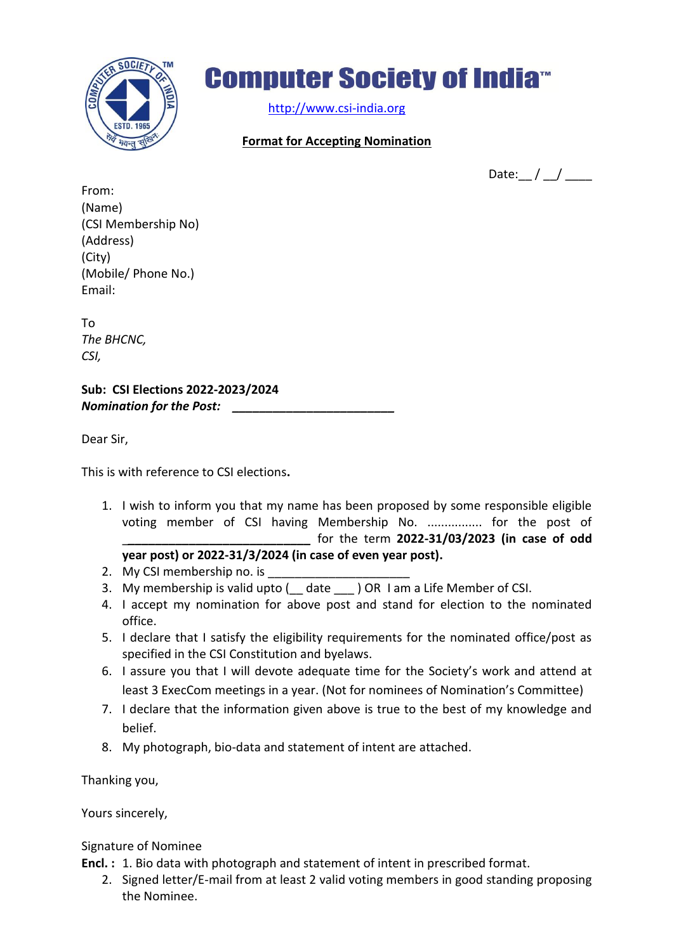

## **Computer Society of India<sup>®</sup>**

[http://www.csi-india.org](http://www.csi-india.org/)

#### **Format for Accepting Nomination**

Date:  $/ /$   $/$   $/$ 

From: (Name) (CSI Membership No) (Address) (City) (Mobile/ Phone No.) Email:

To *The BHCNC, CSI,* 

**Sub: CSI Elections 2022-2023/2024** *Nomination for the Post: \_\_\_\_\_\_\_\_\_\_\_\_\_\_\_\_\_\_\_\_\_\_\_\_*

Dear Sir,

This is with reference to CSI elections**.**

- 1. I wish to inform you that my name has been proposed by some responsible eligible voting member of CSI having Membership No. ................ for the post of \_*\_\_\_\_\_\_\_\_\_\_\_\_\_\_\_\_\_\_\_\_\_\_\_\_\_\_\_* for the term **2022-31/03/2023 (in case of odd year post) or 2022-31/3/2024 (in case of even year post).**
- 2. My CSI membership no. is
- 3. My membership is valid upto ( date ) OR I am a Life Member of CSI.
- 4. I accept my nomination for above post and stand for election to the nominated office.
- 5. I declare that I satisfy the eligibility requirements for the nominated office/post as specified in the CSI Constitution and byelaws.
- 6. I assure you that I will devote adequate time for the Society's work and attend at least 3 ExecCom meetings in a year. (Not for nominees of Nomination's Committee)
- 7. I declare that the information given above is true to the best of my knowledge and belief.
- 8. My photograph, bio-data and statement of intent are attached.

Thanking you,

Yours sincerely,

Signature of Nominee

**Encl. :** 1. Bio data with photograph and statement of intent in prescribed format.

2. Signed letter/E-mail from at least 2 valid voting members in good standing proposing the Nominee.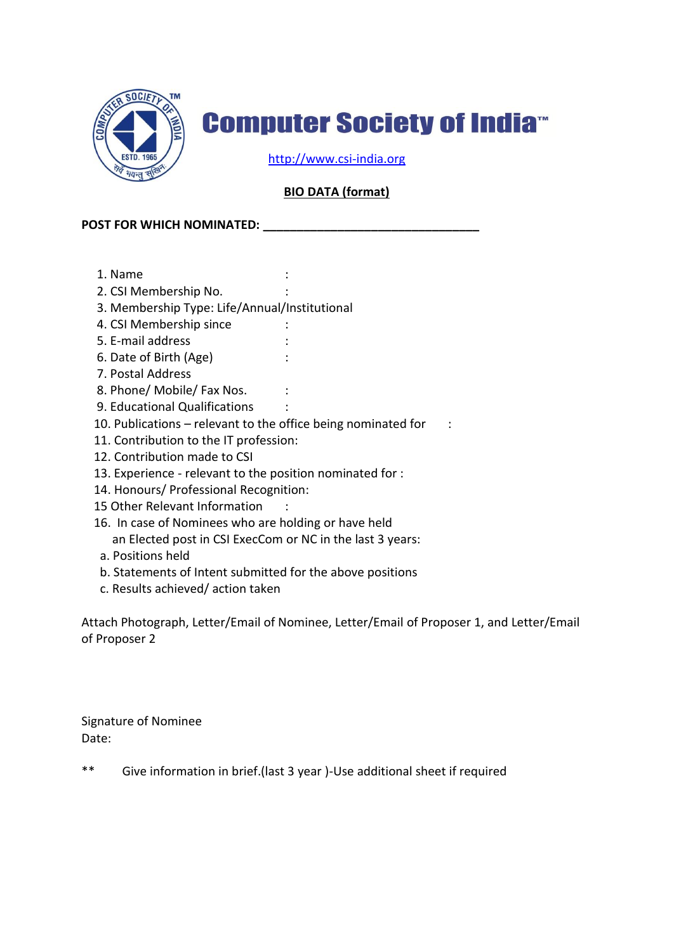

## **Computer Society of India**<sup>®</sup>

[http://www.csi-india.org](http://www.csi-india.org/)

#### **BIO DATA (format)**

#### **POST FOR WHICH NOMINATED: \_\_\_\_\_\_\_\_\_\_\_\_\_\_\_\_\_\_\_\_\_\_\_\_\_\_\_\_\_\_\_\_**

- 1. Name :
- 2. CSI Membership No. :
- 3. Membership Type: Life/Annual/Institutional
- 4. CSI Membership since :
- 5. E-mail address :
- 6. Date of Birth (Age) :
- 7. Postal Address
- 8. Phone/ Mobile/ Fax Nos. :
- 9. Educational Qualifications :
- 10. Publications relevant to the office being nominated for :
- 11. Contribution to the IT profession:
- 12. Contribution made to CSI
- 13. Experience relevant to the position nominated for :
- 14. Honours/ Professional Recognition:
- 15 Other Relevant Information :
- 16. In case of Nominees who are holding or have held an Elected post in CSI ExecCom or NC in the last 3 years:
- a. Positions held
- b. Statements of Intent submitted for the above positions
- c. Results achieved/ action taken

Attach Photograph, Letter/Email of Nominee, Letter/Email of Proposer 1, and Letter/Email of Proposer 2

Signature of Nominee Date:

\*\* Give information in brief.(last 3 year )-Use additional sheet if required